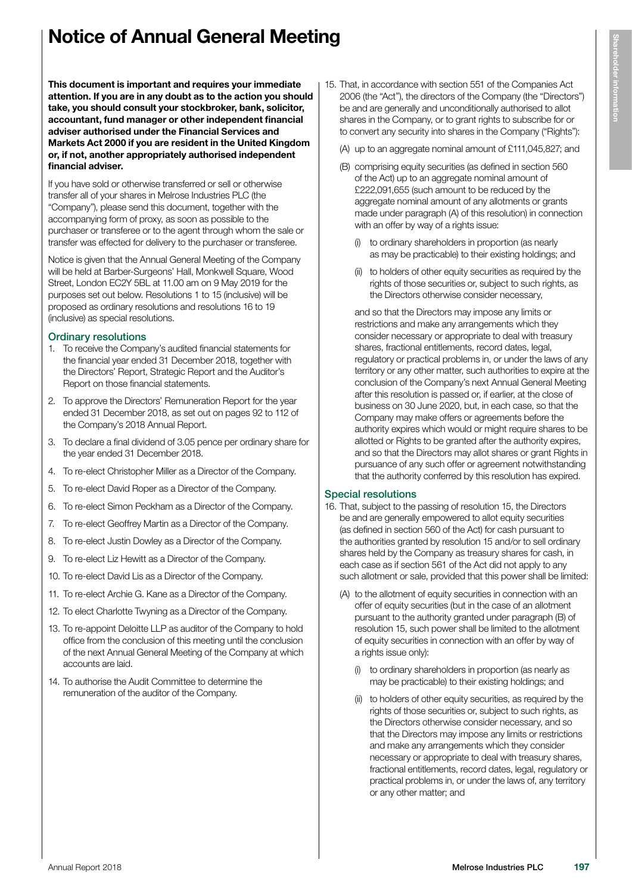# Notice of Annual General Meeting

This document is important and requires your immediate attention. If you are in any doubt as to the action you should take, you should consult your stockbroker, bank, solicitor, accountant, fund manager or other independent financial adviser authorised under the Financial Services and Markets Act 2000 if you are resident in the United Kingdom or, if not, another appropriately authorised independent financial adviser.

If you have sold or otherwise transferred or sell or otherwise transfer all of your shares in Melrose Industries PLC (the "Company"), please send this document, together with the accompanying form of proxy, as soon as possible to the purchaser or transferee or to the agent through whom the sale or transfer was effected for delivery to the purchaser or transferee.

Notice is given that the Annual General Meeting of the Company will be held at Barber-Surgeons' Hall, Monkwell Square, Wood Street, London EC2Y 5BL at 11.00 am on 9 May 2019 for the purposes set out below. Resolutions 1 to 15 (inclusive) will be proposed as ordinary resolutions and resolutions 16 to 19 (inclusive) as special resolutions.

#### Ordinary resolutions

- 1. To receive the Company's audited financial statements for the financial year ended 31 December 2018, together with the Directors' Report, Strategic Report and the Auditor's Report on those financial statements.
- 2. To approve the Directors' Remuneration Report for the year ended 31 December 2018, as set out on pages 92 to 112 of the Company's 2018 Annual Report.
- 3. To declare a final dividend of 3.05 pence per ordinary share for the year ended 31 December 2018.
- 4. To re-elect Christopher Miller as a Director of the Company.
- 5. To re-elect David Roper as a Director of the Company.
- 6. To re-elect Simon Peckham as a Director of the Company.
- 7. To re-elect Geoffrey Martin as a Director of the Company.
- 8. To re-elect Justin Dowley as a Director of the Company.
- 9. To re-elect Liz Hewitt as a Director of the Company.
- 10. To re-elect David Lis as a Director of the Company.
- 11. To re-elect Archie G. Kane as a Director of the Company.
- 12. To elect Charlotte Twyning as a Director of the Company.
- 13. To re-appoint Deloitte LLP as auditor of the Company to hold office from the conclusion of this meeting until the conclusion of the next Annual General Meeting of the Company at which accounts are laid.
- 14. To authorise the Audit Committee to determine the remuneration of the auditor of the Company.
- 15. That, in accordance with section 551 of the Companies Act 2006 (the "Act"), the directors of the Company (the "Directors") be and are generally and unconditionally authorised to allot shares in the Company, or to grant rights to subscribe for or to convert any security into shares in the Company ("Rights"):
	- (A) up to an aggregate nominal amount of £111,045,827; and
	- (B) comprising equity securities (as defined in section 560 of the Act) up to an aggregate nominal amount of £222,091,655 (such amount to be reduced by the aggregate nominal amount of any allotments or grants made under paragraph (A) of this resolution) in connection with an offer by way of a rights issue:
		- (i) to ordinary shareholders in proportion (as nearly as may be practicable) to their existing holdings; and
		- (ii) to holders of other equity securities as required by the rights of those securities or, subject to such rights, as the Directors otherwise consider necessary,

and so that the Directors may impose any limits or restrictions and make any arrangements which they consider necessary or appropriate to deal with treasury shares, fractional entitlements, record dates, legal, regulatory or practical problems in, or under the laws of any territory or any other matter, such authorities to expire at the conclusion of the Company's next Annual General Meeting after this resolution is passed or, if earlier, at the close of business on 30 June 2020, but, in each case, so that the Company may make offers or agreements before the authority expires which would or might require shares to be allotted or Rights to be granted after the authority expires, and so that the Directors may allot shares or grant Rights in pursuance of any such offer or agreement notwithstanding that the authority conferred by this resolution has expired.

#### Special resolutions

- 16. That, subject to the passing of resolution 15, the Directors be and are generally empowered to allot equity securities (as defined in section 560 of the Act) for cash pursuant to the authorities granted by resolution 15 and/or to sell ordinary shares held by the Company as treasury shares for cash, in each case as if section 561 of the Act did not apply to any such allotment or sale, provided that this power shall be limited:
	- (A) to the allotment of equity securities in connection with an offer of equity securities (but in the case of an allotment pursuant to the authority granted under paragraph (B) of resolution 15, such power shall be limited to the allotment of equity securities in connection with an offer by way of a rights issue only):
		- (i) to ordinary shareholders in proportion (as nearly as may be practicable) to their existing holdings; and
		- to holders of other equity securities, as required by the rights of those securities or, subject to such rights, as the Directors otherwise consider necessary, and so that the Directors may impose any limits or restrictions and make any arrangements which they consider necessary or appropriate to deal with treasury shares, fractional entitlements, record dates, legal, regulatory or practical problems in, or under the laws of, any territory or any other matter; and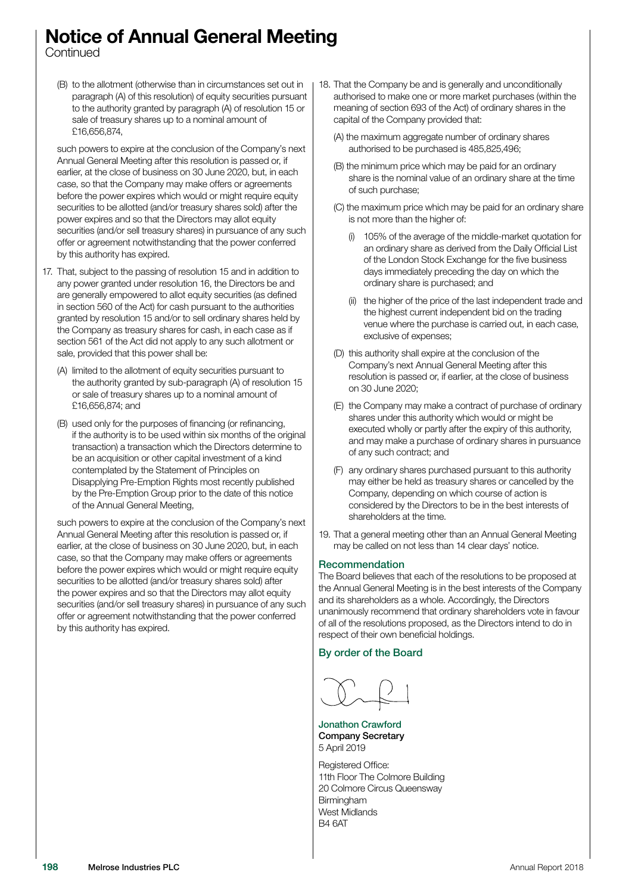## Notice of Annual General Meeting

**Continued** 

(B) to the allotment (otherwise than in circumstances set out in paragraph (A) of this resolution) of equity securities pursuant to the authority granted by paragraph (A) of resolution 15 or sale of treasury shares up to a nominal amount of £16,656,874,

such powers to expire at the conclusion of the Company's next Annual General Meeting after this resolution is passed or, if earlier, at the close of business on 30 June 2020, but, in each case, so that the Company may make offers or agreements before the power expires which would or might require equity securities to be allotted (and/or treasury shares sold) after the power expires and so that the Directors may allot equity securities (and/or sell treasury shares) in pursuance of any such offer or agreement notwithstanding that the power conferred by this authority has expired.

- 17. That, subject to the passing of resolution 15 and in addition to any power granted under resolution 16, the Directors be and are generally empowered to allot equity securities (as defined in section 560 of the Act) for cash pursuant to the authorities granted by resolution 15 and/or to sell ordinary shares held by the Company as treasury shares for cash, in each case as if section 561 of the Act did not apply to any such allotment or sale, provided that this power shall be:
	- (A) limited to the allotment of equity securities pursuant to the authority granted by sub-paragraph (A) of resolution 15 or sale of treasury shares up to a nominal amount of £16,656,874; and
	- (B) used only for the purposes of financing (or refinancing, if the authority is to be used within six months of the original transaction) a transaction which the Directors determine to be an acquisition or other capital investment of a kind contemplated by the Statement of Principles on Disapplying Pre-Emption Rights most recently published by the Pre-Emption Group prior to the date of this notice of the Annual General Meeting,

such powers to expire at the conclusion of the Company's next Annual General Meeting after this resolution is passed or, if earlier, at the close of business on 30 June 2020, but, in each case, so that the Company may make offers or agreements before the power expires which would or might require equity securities to be allotted (and/or treasury shares sold) after the power expires and so that the Directors may allot equity securities (and/or sell treasury shares) in pursuance of any such offer or agreement notwithstanding that the power conferred by this authority has expired.

- 18. That the Company be and is generally and unconditionally authorised to make one or more market purchases (within the meaning of section 693 of the Act) of ordinary shares in the capital of the Company provided that:
	- (A) the maximum aggregate number of ordinary shares authorised to be purchased is 485,825,496;
	- (B) the minimum price which may be paid for an ordinary share is the nominal value of an ordinary share at the time of such purchase;
	- (C) the maximum price which may be paid for an ordinary share is not more than the higher of:
		- (i) 105% of the average of the middle-market quotation for an ordinary share as derived from the Daily Official List of the London Stock Exchange for the five business days immediately preceding the day on which the ordinary share is purchased; and
		- (ii) the higher of the price of the last independent trade and the highest current independent bid on the trading venue where the purchase is carried out, in each case, exclusive of expenses;
	- (D) this authority shall expire at the conclusion of the Company's next Annual General Meeting after this resolution is passed or, if earlier, at the close of business on 30 June 2020;
	- (E) the Company may make a contract of purchase of ordinary shares under this authority which would or might be executed wholly or partly after the expiry of this authority, and may make a purchase of ordinary shares in pursuance of any such contract; and
	- (F) any ordinary shares purchased pursuant to this authority may either be held as treasury shares or cancelled by the Company, depending on which course of action is considered by the Directors to be in the best interests of shareholders at the time.
- 19. That a general meeting other than an Annual General Meeting may be called on not less than 14 clear days' notice.

#### Recommendation

The Board believes that each of the resolutions to be proposed at the Annual General Meeting is in the best interests of the Company and its shareholders as a whole. Accordingly, the Directors unanimously recommend that ordinary shareholders vote in favour of all of the resolutions proposed, as the Directors intend to do in respect of their own beneficial holdings.

By order of the Board

Jonathon Crawford Company Secretary 5 April 2019

Registered Office: 11th Floor The Colmore Building 20 Colmore Circus Queensway **Birmingham** West Midlands B4 6AT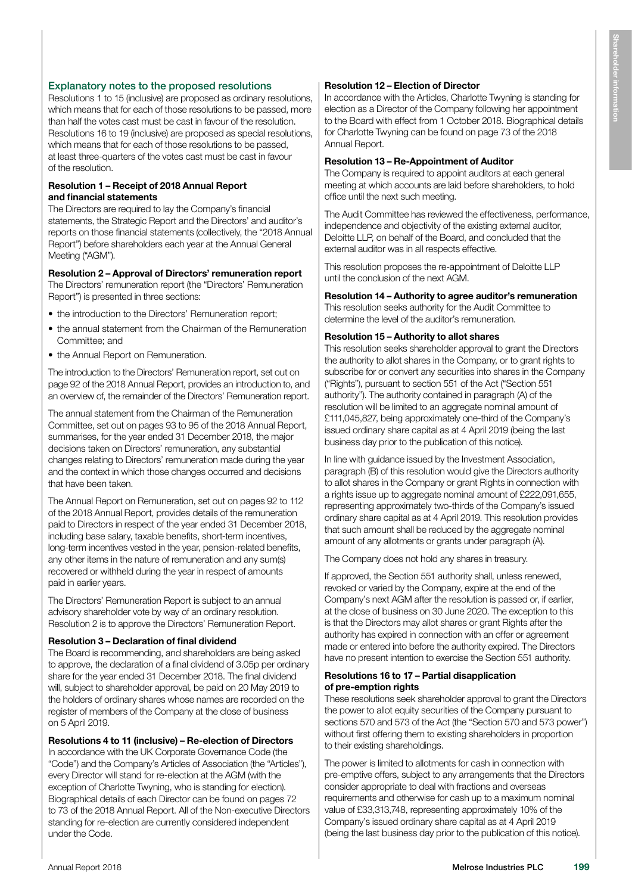## Explanatory notes to the proposed resolutions

Resolutions 1 to 15 (inclusive) are proposed as ordinary resolutions, which means that for each of those resolutions to be passed, more than half the votes cast must be cast in favour of the resolution. Resolutions 16 to 19 (inclusive) are proposed as special resolutions, which means that for each of those resolutions to be passed, at least three-quarters of the votes cast must be cast in favour of the resolution.

#### Resolution 1 – Receipt of 2018 Annual Report and financial statements

The Directors are required to lay the Company's financial statements, the Strategic Report and the Directors' and auditor's reports on those financial statements (collectively, the "2018 Annual Report") before shareholders each year at the Annual General Meeting ("AGM").

## Resolution 2 – Approval of Directors' remuneration report

The Directors' remuneration report (the "Directors' Remuneration Report") is presented in three sections:

- the introduction to the Directors' Remuneration report;
- the annual statement from the Chairman of the Remuneration Committee; and
- the Annual Report on Remuneration.

The introduction to the Directors' Remuneration report, set out on page 92 of the 2018 Annual Report, provides an introduction to, and an overview of, the remainder of the Directors' Remuneration report.

The annual statement from the Chairman of the Remuneration Committee, set out on pages 93 to 95 of the 2018 Annual Report, summarises, for the year ended 31 December 2018, the major decisions taken on Directors' remuneration, any substantial changes relating to Directors' remuneration made during the year and the context in which those changes occurred and decisions that have been taken.

The Annual Report on Remuneration, set out on pages 92 to 112 of the 2018 Annual Report, provides details of the remuneration paid to Directors in respect of the year ended 31 December 2018, including base salary, taxable benefits, short-term incentives, long-term incentives vested in the year, pension-related benefits, any other items in the nature of remuneration and any sum(s) recovered or withheld during the year in respect of amounts paid in earlier years.

The Directors' Remuneration Report is subject to an annual advisory shareholder vote by way of an ordinary resolution. Resolution 2 is to approve the Directors' Remuneration Report.

#### Resolution 3 – Declaration of final dividend

The Board is recommending, and shareholders are being asked to approve, the declaration of a final dividend of 3.05p per ordinary share for the year ended 31 December 2018. The final dividend will, subject to shareholder approval, be paid on 20 May 2019 to the holders of ordinary shares whose names are recorded on the register of members of the Company at the close of business on 5 April 2019.

## Resolutions 4 to 11 (inclusive) – Re-election of Directors

In accordance with the UK Corporate Governance Code (the "Code") and the Company's Articles of Association (the "Articles"), every Director will stand for re-election at the AGM (with the exception of Charlotte Twyning, who is standing for election). Biographical details of each Director can be found on pages 72 to 73 of the 2018 Annual Report. All of the Non-executive Directors standing for re-election are currently considered independent under the Code.

#### Resolution 12 – Election of Director

In accordance with the Articles, Charlotte Twyning is standing for election as a Director of the Company following her appointment to the Board with effect from 1 October 2018. Biographical details for Charlotte Twyning can be found on page 73 of the 2018 Annual Report.

#### Resolution 13 – Re-Appointment of Auditor

The Company is required to appoint auditors at each general meeting at which accounts are laid before shareholders, to hold office until the next such meeting.

The Audit Committee has reviewed the effectiveness, performance, independence and objectivity of the existing external auditor, Deloitte LLP, on behalf of the Board, and concluded that the external auditor was in all respects effective.

This resolution proposes the re-appointment of Deloitte LLP until the conclusion of the next AGM.

## Resolution 14 – Authority to agree auditor's remuneration

This resolution seeks authority for the Audit Committee to determine the level of the auditor's remuneration.

#### Resolution 15 – Authority to allot shares

This resolution seeks shareholder approval to grant the Directors the authority to allot shares in the Company, or to grant rights to subscribe for or convert any securities into shares in the Company ("Rights"), pursuant to section 551 of the Act ("Section 551 authority"). The authority contained in paragraph (A) of the resolution will be limited to an aggregate nominal amount of £111,045,827, being approximately one-third of the Company's issued ordinary share capital as at 4 April 2019 (being the last business day prior to the publication of this notice).

In line with guidance issued by the Investment Association, paragraph (B) of this resolution would give the Directors authority to allot shares in the Company or grant Rights in connection with a rights issue up to aggregate nominal amount of £222,091,655, representing approximately two-thirds of the Company's issued ordinary share capital as at 4 April 2019. This resolution provides that such amount shall be reduced by the aggregate nominal amount of any allotments or grants under paragraph (A).

The Company does not hold any shares in treasury.

If approved, the Section 551 authority shall, unless renewed, revoked or varied by the Company, expire at the end of the Company's next AGM after the resolution is passed or, if earlier, at the close of business on 30 June 2020. The exception to this is that the Directors may allot shares or grant Rights after the authority has expired in connection with an offer or agreement made or entered into before the authority expired. The Directors have no present intention to exercise the Section 551 authority.

#### Resolutions 16 to 17 – Partial disapplication of pre-emption rights

These resolutions seek shareholder approval to grant the Directors the power to allot equity securities of the Company pursuant to sections 570 and 573 of the Act (the "Section 570 and 573 power") without first offering them to existing shareholders in proportion to their existing shareholdings.

The power is limited to allotments for cash in connection with pre-emptive offers, subject to any arrangements that the Directors consider appropriate to deal with fractions and overseas requirements and otherwise for cash up to a maximum nominal value of £33,313,748, representing approximately 10% of the Company's issued ordinary share capital as at 4 April 2019 (being the last business day prior to the publication of this notice).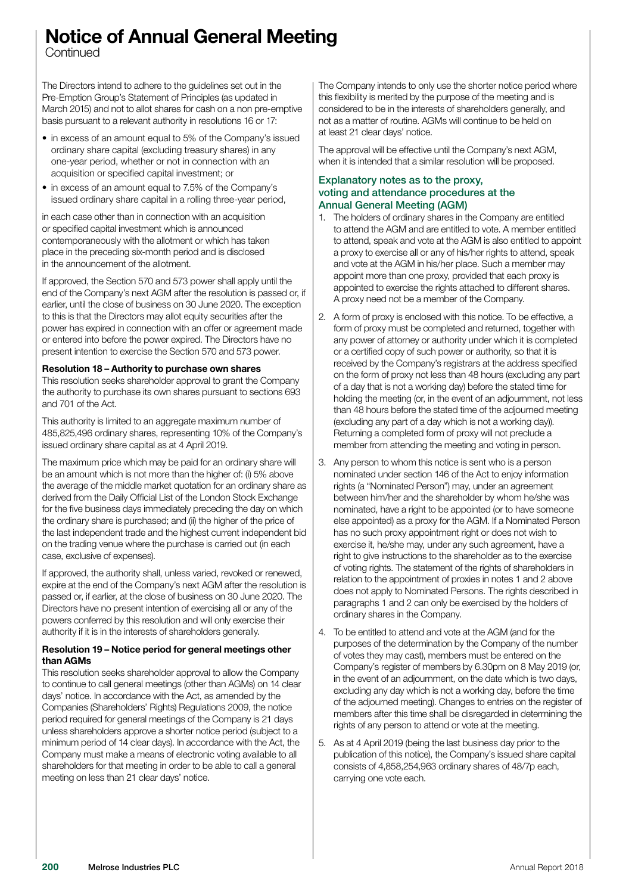## Notice of Annual General Meeting

**Continued** 

The Directors intend to adhere to the guidelines set out in the Pre-Emption Group's Statement of Principles (as updated in March 2015) and not to allot shares for cash on a non pre-emptive basis pursuant to a relevant authority in resolutions 16 or 17:

- in excess of an amount equal to 5% of the Company's issued ordinary share capital (excluding treasury shares) in any one-year period, whether or not in connection with an acquisition or specified capital investment; or
- in excess of an amount equal to 7.5% of the Company's issued ordinary share capital in a rolling three-year period,

in each case other than in connection with an acquisition or specified capital investment which is announced contemporaneously with the allotment or which has taken place in the preceding six-month period and is disclosed in the announcement of the allotment.

If approved, the Section 570 and 573 power shall apply until the end of the Company's next AGM after the resolution is passed or, if earlier, until the close of business on 30 June 2020. The exception to this is that the Directors may allot equity securities after the power has expired in connection with an offer or agreement made or entered into before the power expired. The Directors have no present intention to exercise the Section 570 and 573 power.

#### Resolution 18 – Authority to purchase own shares

This resolution seeks shareholder approval to grant the Company the authority to purchase its own shares pursuant to sections 693 and 701 of the Act.

This authority is limited to an aggregate maximum number of 485,825,496 ordinary shares, representing 10% of the Company's issued ordinary share capital as at 4 April 2019.

The maximum price which may be paid for an ordinary share will be an amount which is not more than the higher of: (i) 5% above the average of the middle market quotation for an ordinary share as derived from the Daily Official List of the London Stock Exchange for the five business days immediately preceding the day on which the ordinary share is purchased; and (ii) the higher of the price of the last independent trade and the highest current independent bid on the trading venue where the purchase is carried out (in each case, exclusive of expenses).

If approved, the authority shall, unless varied, revoked or renewed, expire at the end of the Company's next AGM after the resolution is passed or, if earlier, at the close of business on 30 June 2020. The Directors have no present intention of exercising all or any of the powers conferred by this resolution and will only exercise their authority if it is in the interests of shareholders generally.

#### Resolution 19 – Notice period for general meetings other than AGMe

This resolution seeks shareholder approval to allow the Company to continue to call general meetings (other than AGMs) on 14 clear days' notice. In accordance with the Act, as amended by the Companies (Shareholders' Rights) Regulations 2009, the notice period required for general meetings of the Company is 21 days unless shareholders approve a shorter notice period (subject to a minimum period of 14 clear days). In accordance with the Act, the Company must make a means of electronic voting available to all shareholders for that meeting in order to be able to call a general meeting on less than 21 clear days' notice.

The Company intends to only use the shorter notice period where this flexibility is merited by the purpose of the meeting and is considered to be in the interests of shareholders generally, and not as a matter of routine. AGMs will continue to be held on at least 21 clear days' notice.

The approval will be effective until the Company's next AGM, when it is intended that a similar resolution will be proposed.

### Explanatory notes as to the proxy, voting and attendance procedures at the Annual General Meeting (AGM)

- 1. The holders of ordinary shares in the Company are entitled to attend the AGM and are entitled to vote. A member entitled to attend, speak and vote at the AGM is also entitled to appoint a proxy to exercise all or any of his/her rights to attend, speak and vote at the AGM in his/her place. Such a member may appoint more than one proxy, provided that each proxy is appointed to exercise the rights attached to different shares. A proxy need not be a member of the Company.
- 2. A form of proxy is enclosed with this notice. To be effective, a form of proxy must be completed and returned, together with any power of attorney or authority under which it is completed or a certified copy of such power or authority, so that it is received by the Company's registrars at the address specified on the form of proxy not less than 48 hours (excluding any part of a day that is not a working day) before the stated time for holding the meeting (or, in the event of an adjournment, not less than 48 hours before the stated time of the adjourned meeting (excluding any part of a day which is not a working day)). Returning a completed form of proxy will not preclude a member from attending the meeting and voting in person.
- 3. Any person to whom this notice is sent who is a person nominated under section 146 of the Act to enjoy information rights (a "Nominated Person") may, under an agreement between him/her and the shareholder by whom he/she was nominated, have a right to be appointed (or to have someone else appointed) as a proxy for the AGM. If a Nominated Person has no such proxy appointment right or does not wish to exercise it, he/she may, under any such agreement, have a right to give instructions to the shareholder as to the exercise of voting rights. The statement of the rights of shareholders in relation to the appointment of proxies in notes 1 and 2 above does not apply to Nominated Persons. The rights described in paragraphs 1 and 2 can only be exercised by the holders of ordinary shares in the Company.
- 4. To be entitled to attend and vote at the AGM (and for the purposes of the determination by the Company of the number of votes they may cast), members must be entered on the Company's register of members by 6.30pm on 8 May 2019 (or, in the event of an adjournment, on the date which is two days, excluding any day which is not a working day, before the time of the adjourned meeting). Changes to entries on the register of members after this time shall be disregarded in determining the rights of any person to attend or vote at the meeting.
- 5. As at 4 April 2019 (being the last business day prior to the publication of this notice), the Company's issued share capital consists of 4,858,254,963 ordinary shares of 48/7p each, carrying one vote each.